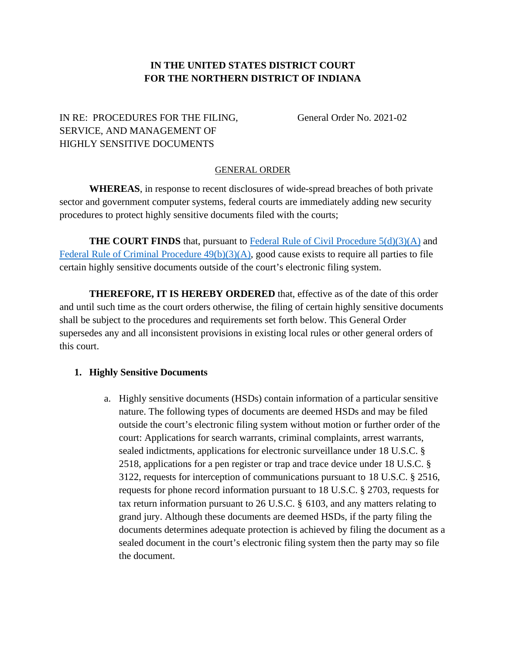### **IN THE UNITED STATES DISTRICT COURT FOR THE NORTHERN DISTRICT OF INDIANA**

# IN RE: PROCEDURES FOR THE FILING, General Order No. 2021-02 SERVICE, AND MANAGEMENT OF HIGHLY SENSITIVE DOCUMENTS

#### GENERAL ORDER

**WHEREAS**, in response to recent disclosures of wide-spread breaches of both private sector and government computer systems, federal courts are immediately adding new security procedures to protect highly sensitive documents filed with the courts;

**THE COURT FINDS** that, pursuant to Federal Rule [of Civil Procedure](https://www.law.cornell.edu/rules/frcp/rule_5) 5(d)(3)(A) and Federal Rule [of Criminal Procedure](https://www.law.cornell.edu/rules/frcrmp/rule_49) 49(b)(3)(A), good cause exists to require all parties to file certain highly sensitive documents outside of the court's electronic filing system.

**THEREFORE, IT IS HEREBY ORDERED** that, effective as of the date of this order and until such time as the court orders otherwise, the filing of certain highly sensitive documents shall be subject to the procedures and requirements set forth below. This General Order supersedes any and all inconsistent provisions in existing local rules or other general orders of this court.

### **1. Highly Sensitive Documents**

a. Highly sensitive documents (HSDs) contain information of a particular sensitive nature. The following types of documents are deemed HSDs and may be filed outside the court's electronic filing system without motion or further order of the court: Applications for search warrants, criminal complaints, arrest warrants, sealed indictments, applications for electronic surveillance under 18 U.S.C. § 2518, applications for a pen register or trap and trace device under 18 U.S.C. § 3122, requests for interception of communications pursuant to 18 U.S.C. § 2516, requests for phone record information pursuant to 18 U.S.C. § 2703, requests for tax return information pursuant to 26 U.S.C. § 6103, and any matters relating to grand jury. Although these documents are deemed HSDs, if the party filing the documents determines adequate protection is achieved by filing the document as a sealed document in the court's electronic filing system then the party may so file the document.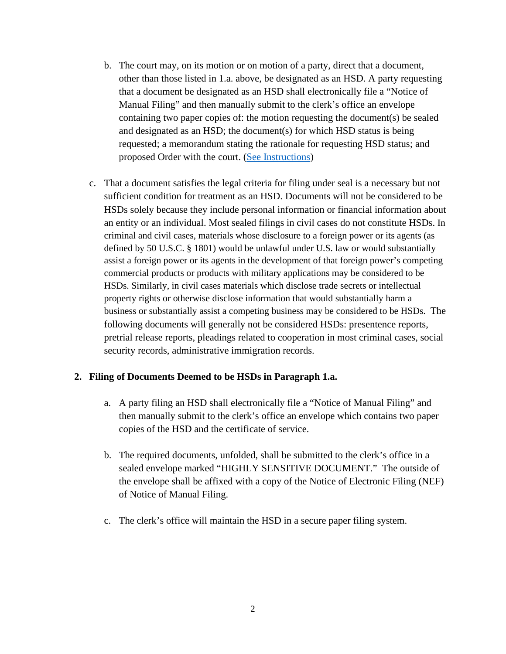- b. The court may, on its motion or on motion of a party, direct that a document, other than those listed in 1.a. above, be designated as an HSD. A party requesting that a document be designated as an HSD shall electronically file a "Notice of Manual Filing" and then manually submit to the clerk's office an envelope containing two paper copies of: the motion requesting the document(s) be sealed and designated as an HSD; the document(s) for which HSD status is being requested; a memorandum stating the rationale for requesting HSD status; and proposed Order with the court. [\(See Instructions\)](https://www.innd.uscourts.gov/sites/innd/files/InstructionsForFilingMotions-Paper.pdf)
- c. That a document satisfies the legal criteria for filing under seal is a necessary but not sufficient condition for treatment as an HSD. Documents will not be considered to be HSDs solely because they include personal information or financial information about an entity or an individual. Most sealed filings in civil cases do not constitute HSDs. In criminal and civil cases, materials whose disclosure to a foreign power or its agents (as defined by 50 U.S.C. § 1801) would be unlawful under U.S. law or would substantially assist a foreign power or its agents in the development of that foreign power's competing commercial products or products with military applications may be considered to be HSDs. Similarly, in civil cases materials which disclose trade secrets or intellectual property rights or otherwise disclose information that would substantially harm a business or substantially assist a competing business may be considered to be HSDs. The following documents will generally not be considered HSDs: presentence reports, pretrial release reports, pleadings related to cooperation in most criminal cases, social security records, administrative immigration records.

### **2. Filing of Documents Deemed to be HSDs in Paragraph 1.a.**

- a. A party filing an HSD shall electronically file a "Notice of Manual Filing" and then manually submit to the clerk's office an envelope which contains two paper copies of the HSD and the certificate of service.
- b. The required documents, unfolded, shall be submitted to the clerk's office in a sealed envelope marked "HIGHLY SENSITIVE DOCUMENT." The outside of the envelope shall be affixed with a copy of the Notice of Electronic Filing (NEF) of Notice of Manual Filing.
- c. The clerk's office will maintain the HSD in a secure paper filing system.